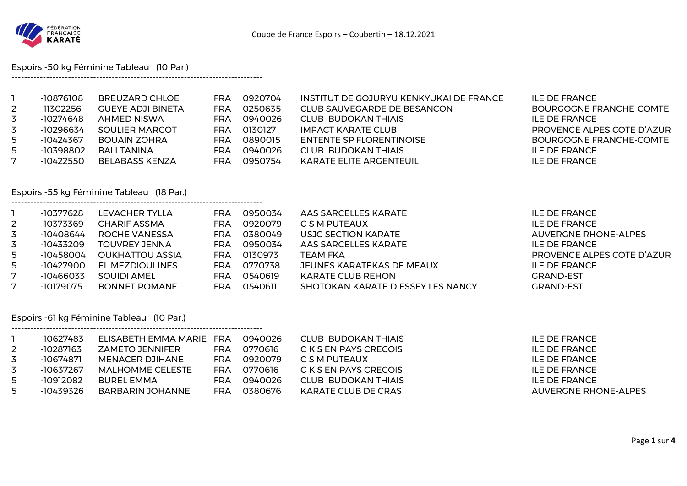

Espoirs -50 kg Féminine Tableau (10 Par.)

--------------------------------------------------------------------------------

--------------------------------------------------------------------------------

--------------------------------------------------------------------------------

|              | -10876108 | BREUZARD CHLOE           | FRA | 0920704 | INSTITUT DE GOJURYU KENKYUKAI DE FRANCE | ILE DE FRANCE              |
|--------------|-----------|--------------------------|-----|---------|-----------------------------------------|----------------------------|
| $\mathbf{2}$ | -11302256 | <b>GUEYE ADJI BINETA</b> | FRA | 0250635 | CLUB SAUVEGARDE DE BESANCON             | BOURGOGNE FRANCHE-COMTE    |
| 3            | -10274648 | AHMED NISWA              | FRA | 0940026 | CLUB BUDOKAN THIAIS                     | ILE DE FRANCE              |
| 3            | -10296634 | SOULIER MARGOT           | FRA | 0130127 | IMPACT KARATE CLUB                      | PROVENCE ALPES COTE D'AZUR |
| 5            | -10424367 | <b>BOUAIN ZOHRA</b>      | FRA | 0890015 | ENTENTE SP FLORENTINOISE                | BOURGOGNE FRANCHE-COMTE    |
| 5            | -10398802 | BALI TANINA              | FRA | 0940026 | CLUB BUDOKAN THIAIS                     | ILE DE FRANCE              |
| 7            | -10422550 | BELABASS KENZA           | FRA | 0950754 | <b>KARATE ELITE ARGENTEUIL</b>          | ILE DE FRANCE              |

## Espoirs -55 kg Féminine Tableau (18 Par.)

|                | -10377628 | LEVACHER TYLLA         | FRA | 0950034 | AAS SARCELLES KARATE              | <b>ILE DE FRANCE</b>        |
|----------------|-----------|------------------------|-----|---------|-----------------------------------|-----------------------------|
| $\overline{2}$ | -10373369 | CHARIF ASSMA           | FRA | 0920079 | C S M PUTEAUX                     | ILE DE FRANCE               |
| 3              | -10408644 | ROCHE VANESSA          | FRA | 0380049 | USJC SECTION KARATE               | <b>AUVERGNE RHONE-ALPES</b> |
| 3              | -10433209 | TOUVREY JENNA          | FRA | 0950034 | AAS SARCELLES KARATE              | ILE DE FRANCE               |
| 5              | -10458004 | <b>OUKHATTOU ASSIA</b> | FRA | 0130973 | <b>TEAM FKA</b>                   | PROVENCE ALPES COTE D'AZUR  |
| 5              | -10427900 | EL MEZDIOUI INES       | FRA | 0770738 | JEUNES KARATEKAS DE MEAUX         | <b>ILE DE FRANCE</b>        |
| 7              | -10466033 | SOUIDI AMEL            | FRA | 0540619 | <b>KARATE CLUB REHON</b>          | <b>GRAND-EST</b>            |
| 7              | -10179075 | BONNET ROMANE          | FRA | 0540611 | SHOTOKAN KARATE D ESSEY LES NANCY | <b>GRAND-EST</b>            |

## Espoirs -61 kg Féminine Tableau (10 Par.)

|     | -10627483 | ELISABETH EMMA MARIE FRA |     | 0940026 | CLUB BUDOKAN THIAIS   | ILE DE FRANCE        |
|-----|-----------|--------------------------|-----|---------|-----------------------|----------------------|
|     | -10287163 | ZAMETO JENNIFER          | FRA | 0770616 | C K S EN PAYS CRECOIS | ILE DE FRANCE        |
|     | -10674871 | MENACER DJIHANE          | FRA | 0920079 | C S M PUTEAUX         | ILE DE FRANCE        |
|     | -10637267 | MALHOMME CELESTE         | FRA | 0770616 | C K S EN PAYS CRECOIS | ILE DE FRANCE        |
| - 5 | -10912082 | BUREL EMMA               | FRA | 0940026 | CLUB BUDOKAN THIAIS   | ILE DE FRANCE        |
|     | -10439326 | BARBARIN JOHANNE         | FRA | 0380676 | KARATE CLUB DE CRAS   | AUVERGNE RHONE-ALPES |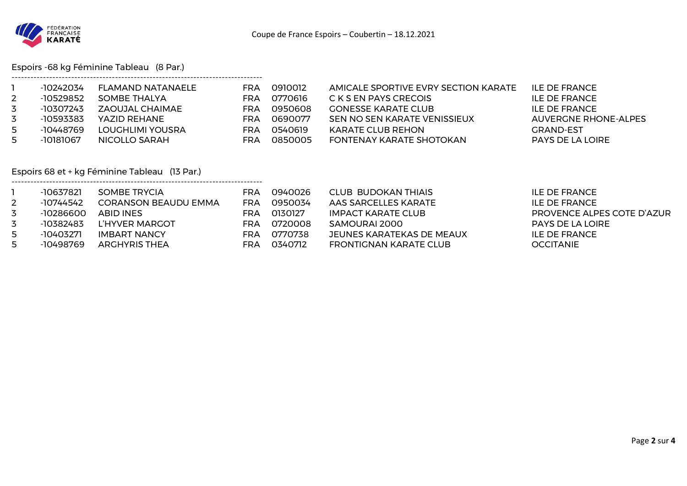

Espoirs -68 kg Féminine Tableau (8 Par.)

|    | -10242034 | <b>FLAMAND NATANAELE</b> | FRA | 0910012 | AMICALE SPORTIVE EVRY SECTION KARATE | ILE DE FRANCE           |
|----|-----------|--------------------------|-----|---------|--------------------------------------|-------------------------|
|    | -10529852 | SOMBE THALYA             | FRA | 0770616 | C K S EN PAYS CRECOIS                | ILE DE FRANCE           |
| 3  | -10307243 | ZAOUJAL CHAIMAE          | FRA | 0950608 | <b>GONESSE KARATE CLUB</b>           | ILE DE FRANCE           |
| 3  | -10593383 | YAZID REHANE             | FRA | 0690077 | SEN NO SEN KARATE VENISSIEUX         | AUVERGNE RHONE-ALPES    |
| 5. | -10448769 | LOUGHLIMI YOUSRA         | FRA | 0540619 | KARATE CLUB REHON                    | <b>GRAND-EST</b>        |
| 5  | -10181067 | NICOLLO SARAH            | FRA | 0850005 | FONTENAY KARATE SHOTOKAN             | <b>PAYS DE LA LOIRE</b> |

Espoirs 68 et + kg Féminine Tableau (13 Par.)

--------------------------------------------------------------------------------

|   | -10637821 | SOMBE TRYCIA                | FRA | 0940026 | CLUB BUDOKAN THIAIS       | ILE DE FRANCE              |
|---|-----------|-----------------------------|-----|---------|---------------------------|----------------------------|
|   | -10744542 | <b>CORANSON BEAUDU EMMA</b> | FRA | 0950034 | AAS SARCELLES KARATE      | ILE DE FRANCE              |
| 3 | -10286600 | ABID INES                   | FRA | 0130127 | IMPACT KARATE CLUB        | PROVENCE ALPES COTE D'AZUR |
| 3 | -10382483 | L'HYVER MARGOT              | FRA | 0720008 | SAMOURAI 2000             | <b>PAYS DE LA LOIRE</b>    |
| 5 | -10403271 | <b>IMBART NANCY</b>         | FRA | 0770738 | JEUNES KARATEKAS DE MEAUX | ILE DE FRANCE              |
| 5 | -10498769 | <b>ARGHYRIS THEA</b>        | FRA | 0340712 | FRONTIGNAN KARATE CLUB    | <b>OCCITANIE</b>           |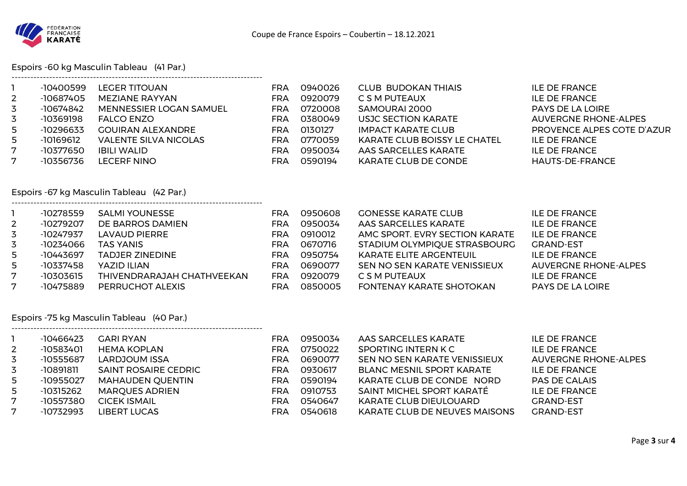

Espoirs -60 kg Masculin Tableau (41 Par.)

--------------------------------------------------------------------------------

--------------------------------------------------------------------------------

--------------------------------------------------------------------------------

|                | -10400599   | LEGER TITOUAN                  | FRA        | 0940026 | <b>CLUB BUDOKAN THIAIS</b>          | <b>ILE DE FRANCE</b>        |
|----------------|-------------|--------------------------------|------------|---------|-------------------------------------|-----------------------------|
| $\overline{2}$ | -10687405   | MEZIANE RAYYAN                 | FRA        | 0920079 | C S M PUTEAUX                       | <b>ILE DE FRANCE</b>        |
| 3              | -10674842   | <b>MENNESSIER LOGAN SAMUEL</b> | FRA        | 0720008 | SAMOURAI 2000                       | <b>PAYS DE LA LOIRE</b>     |
| 3              | -10369198   | <b>FALCO ENZO</b>              | FRA        | 0380049 | USJC SECTION KARATE                 | <b>AUVERGNE RHONE-ALPES</b> |
| 5              | $-10296633$ | <b>GOUIRAN ALEXANDRE</b>       | <b>FRA</b> | 0130127 | <b>IMPACT KARATE CLUB</b>           | PROVENCE ALPES COTE D'AZUR  |
| 5              | -10169612   | VALENTE SILVA NICOLAS          | FRA        | 0770059 | <b>KARATE CLUB BOISSY LE CHATEL</b> | ILE DE FRANCE               |
| 7              | -10377650   | <b>IBILI WALID</b>             | FRA        | 0950034 | AAS SARCELLES KARATE                | <b>ILE DE FRANCE</b>        |
|                | -10356736   | LECERF NINO                    | FRA        | 0590194 | KARATE CLUB DE CONDE                | HAUTS-DE-FRANCE             |
|                |             |                                |            |         |                                     |                             |

# Espoirs -67 kg Masculin Tableau (42 Par.)

|                | -10278559 | <b>SALMI YOUNESSE</b>      | FRA        | 0950608 | <b>GONESSE KARATE CLUB</b>     | ILE DE FRANCE               |
|----------------|-----------|----------------------------|------------|---------|--------------------------------|-----------------------------|
| $\overline{2}$ | -10279207 | DE BARROS DAMIEN           | FRA        | 0950034 | AAS SARCELLES KARATE           | <b>ILE DE FRANCE</b>        |
| 3              | -10247937 | LAVAUD PIERRE              | <b>FRA</b> | 0910012 | AMC SPORT. EVRY SECTION KARATE | <b>ILE DE FRANCE</b>        |
| 3              | -10234066 | <b>TAS YANIS</b>           | <b>FRA</b> | 0670716 | STADIUM OLYMPIQUE STRASBOURG   | <b>GRAND-EST</b>            |
| 5              | -10443697 | <b>TADJER ZINEDINE</b>     | <b>FRA</b> | 0950754 | <b>KARATE ELITE ARGENTEUIL</b> | <b>ILE DE FRANCE</b>        |
| 5              | -10337458 | YAZID ILIAN                | FRA        | 0690077 | SEN NO SEN KARATE VENISSIEUX   | <b>AUVERGNE RHONE-ALPES</b> |
| 7              | -10303615 | THIVENDRARAJAH CHATHVEEKAN | <b>FRA</b> | 0920079 | C S M PUTEAUX                  | <b>ILE DE FRANCE</b>        |
| 7              | -10475889 | PERRUCHOT ALEXIS           | FRA        | 0850005 | FONTENAY KARATE SHOTOKAN       | <b>PAYS DE LA LOIRE</b>     |

#### Espoirs -75 kg Masculin Tableau (40 Par.)

|                | $-10466423$ | <b>GARI RYAN</b>            | FRA  | 0950034 | AAS SARCELLES KARATE                 | <b>ILE DE FRANCE</b> |
|----------------|-------------|-----------------------------|------|---------|--------------------------------------|----------------------|
| $\overline{2}$ | $-10583401$ | <b>HEMA KOPLAN</b>          | FRA  | 0750022 | SPORTING INTERN K C                  | <b>ILE DE FRANCE</b> |
| 3              | -10555687   | LARDJOUM ISSA               | FRA. | 0690077 | SEN NO SEN KARATE VENISSIEUX         | AUVERGNE RHONE-ALPES |
| 3              | -10891811   | <b>SAINT ROSAIRE CEDRIC</b> | FRA. | 0930617 | <b>BLANC MESNIL SPORT KARATE</b>     | <b>ILE DE FRANCE</b> |
| 5              | -10955027   | MAHAUDEN QUENTIN            | FRA. | 0590194 | KARATE CLUB DE CONDE NORD            | <b>PAS DE CALAIS</b> |
| 5              | $-10315262$ | <b>MARQUES ADRIEN</b>       | FRA  | 0910753 | SAINT MICHEL SPORT KARATÉ            | <b>ILE DE FRANCE</b> |
| 7              | -10557380   | <b>CICEK ISMAIL</b>         | FRA. | 0540647 | <b>KARATE CLUB DIEULOUARD</b>        | <b>GRAND-EST</b>     |
| 7              | $-10732993$ | LIBERT LUCAS                | FRA. | 0540618 | <b>KARATE CLUB DE NEUVES MAISONS</b> | <b>GRAND-EST</b>     |